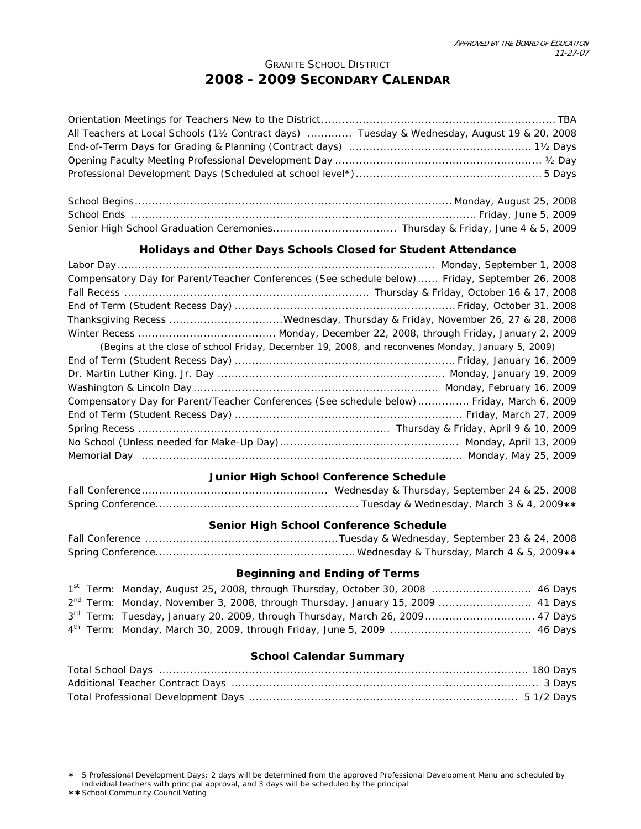## GRANITE SCHOOL DISTRICT **2008 - 2009 SECONDARY CALENDAR**

| All Teachers at Local Schools (11/2 Contract days)  Tuesday & Wednesday, August 19 & 20, 2008 |  |
|-----------------------------------------------------------------------------------------------|--|
|                                                                                               |  |
|                                                                                               |  |
|                                                                                               |  |
|                                                                                               |  |
|                                                                                               |  |
|                                                                                               |  |
|                                                                                               |  |
|                                                                                               |  |

## **Holidays and Other Days Schools Closed for Student Attendance**

| Compensatory Day for Parent/Teacher Conferences (See schedule below)  Friday, September 26, 2008  |
|---------------------------------------------------------------------------------------------------|
|                                                                                                   |
|                                                                                                   |
|                                                                                                   |
|                                                                                                   |
|                                                                                                   |
| (Begins at the close of school Friday, December 19, 2008, and reconvenes Monday, January 5, 2009) |
|                                                                                                   |
|                                                                                                   |
|                                                                                                   |
| Compensatory Day for Parent/Teacher Conferences (See schedule below) Friday, March 6, 2009        |
|                                                                                                   |
|                                                                                                   |
|                                                                                                   |
|                                                                                                   |

#### **Junior High School Conference Schedule**

#### **Senior High School Conference Schedule**

### **Beginning and Ending of Terms**

|  | 1st Term: Monday, August 25, 2008, through Thursday, October 30, 2008  46 Days              |  |
|--|---------------------------------------------------------------------------------------------|--|
|  | 2 <sup>nd</sup> Term: Monday, November 3, 2008, through Thursday, January 15, 2009  41 Days |  |
|  | 3rd Term: Tuesday, January 20, 2009, through Thursday, March 26, 2009 47 Days               |  |
|  |                                                                                             |  |

## **School Calendar Summary**

¾5 Professional Development Days: 2 days will be determined from the approved Professional Development Menu and scheduled by individual teachers with principal approval, and 3 days will be scheduled by the principal